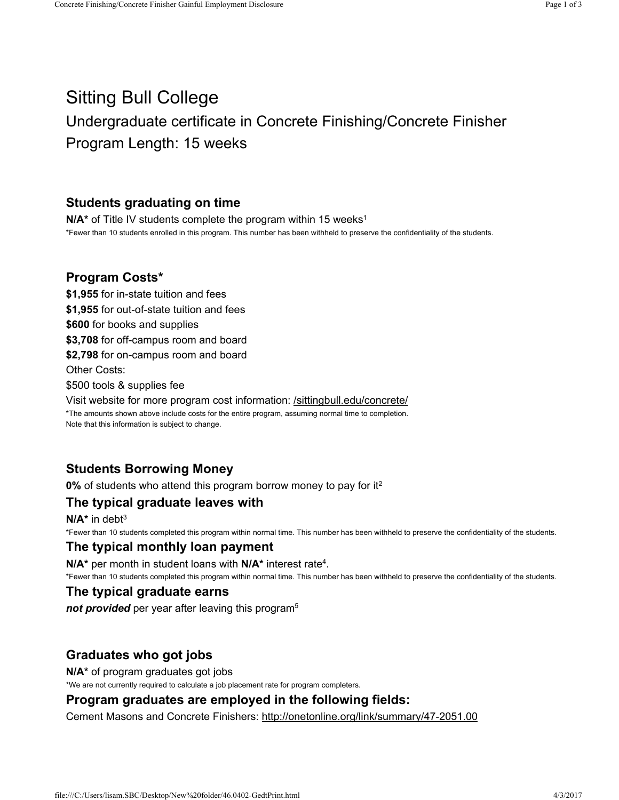# Sitting Bull College Undergraduate certificate in Concrete Finishing/Concrete Finisher Program Length: 15 weeks

### Students graduating on time

 $N/A^*$  of Title IV students complete the program within 15 weeks<sup>1</sup> \*Fewer than 10 students enrolled in this program. This number has been withheld to preserve the confidentiality of the students.

### Program Costs\*

\$1,955 for in-state tuition and fees \$1,955 for out-of-state tuition and fees \$600 for books and supplies \$3,708 for off-campus room and board \$2,798 for on-campus room and board Other Costs: \$500 tools & supplies fee Visit website for more program cost information: /sittingbull.edu/concrete/ \*The amounts shown above include costs for the entire program, assuming normal time to completion. Note that this information is subject to change.

# Students Borrowing Money

**0%** of students who attend this program borrow money to pay for it<sup>2</sup>

# The typical graduate leaves with

 $N/A^*$  in debt<sup>3</sup> \*Fewer than 10 students completed this program within normal time. This number has been withheld to preserve the confidentiality of the students.

#### The typical monthly loan payment

 $N/A^*$  per month in student loans with  $N/A^*$  interest rate<sup>4</sup>.

\*Fewer than 10 students completed this program within normal time. This number has been withheld to preserve the confidentiality of the students.

#### The typical graduate earns

not provided per year after leaving this program<sup>5</sup>

#### Graduates who got jobs

N/A\* of program graduates got jobs

\*We are not currently required to calculate a job placement rate for program completers.

#### Program graduates are employed in the following fields:

Cement Masons and Concrete Finishers: http://onetonline.org/link/summary/47-2051.00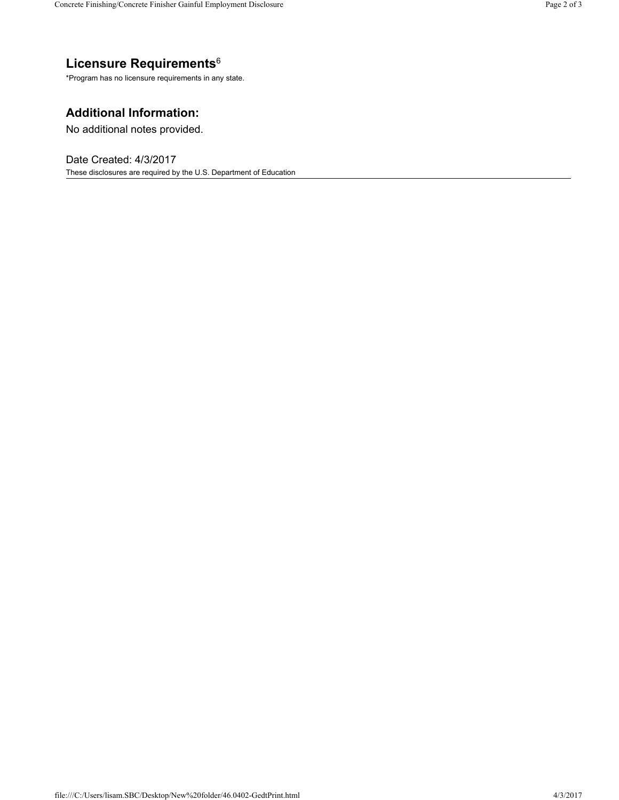# Licensure Requirements 6

\*Program has no licensure requirements in any state.

# Additional Information:

No additional notes provided.

Date Created: 4/3/2017 These disclosures are required by the U.S. Department of Education